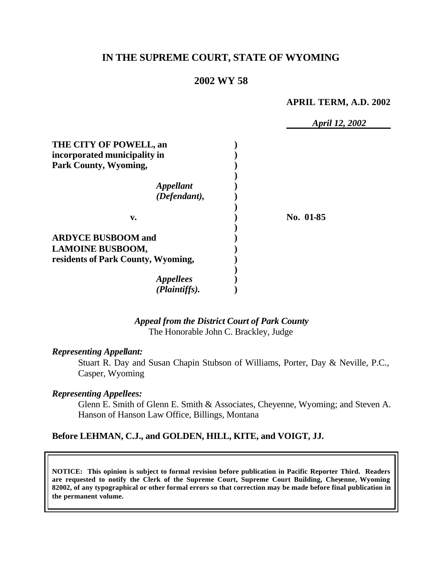## **IN THE SUPREME COURT, STATE OF WYOMING**

## **2002 WY 58**

#### **APRIL TERM, A.D. 2002**

|                                    | April 12, 2002 |
|------------------------------------|----------------|
| THE CITY OF POWELL, an             |                |
| incorporated municipality in       |                |
| Park County, Wyoming,              |                |
|                                    |                |
| <i><b>Appellant</b></i>            |                |
| (Defendant),                       |                |
| v.                                 | No. 01-85      |
|                                    |                |
| <b>ARDYCE BUSBOOM and</b>          |                |
| <b>LAMOINE BUSBOOM,</b>            |                |
| residents of Park County, Wyoming, |                |
|                                    |                |
| <i>Appellees</i>                   |                |
| (Plaintiffs).                      |                |

# *Appeal from the District Court of Park County*

The Honorable John C. Brackley, Judge

### *Representing Appellant:*

Stuart R. Day and Susan Chapin Stubson of Williams, Porter, Day & Neville, P.C., Casper, Wyoming

#### *Representing Appellees:*

Glenn E. Smith of Glenn E. Smith & Associates, Cheyenne, Wyoming; and Steven A. Hanson of Hanson Law Office, Billings, Montana

### **Before LEHMAN, C.J., and GOLDEN, HILL, KITE, and VOIGT, JJ.**

**NOTICE: This opinion is subject to formal revision before publication in Pacific Reporter Third. Readers are requested to notify the Clerk of the Supreme Court, Supreme Court Building, Cheyenne, Wyoming 82002, of any typographical or other formal errors so that correction may be made before final publication in the permanent volume.**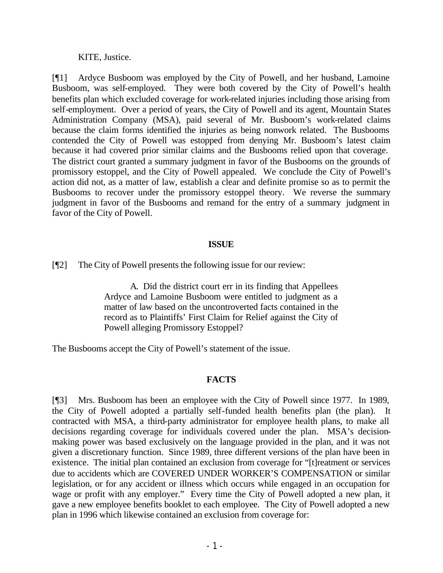KITE, Justice.

[¶1] Ardyce Busboom was employed by the City of Powell, and her husband, Lamoine Busboom, was self-employed. They were both covered by the City of Powell's health benefits plan which excluded coverage for work-related injuries including those arising from self-employment. Over a period of years, the City of Powell and its agent, Mountain States Administration Company (MSA), paid several of Mr. Busboom's work-related claims because the claim forms identified the injuries as being nonwork related. The Busbooms contended the City of Powell was estopped from denying Mr. Busboom's latest claim because it had covered prior similar claims and the Busbooms relied upon that coverage. The district court granted a summary judgment in favor of the Busbooms on the grounds of promissory estoppel, and the City of Powell appealed. We conclude the City of Powell's action did not, as a matter of law, establish a clear and definite promise so as to permit the Busbooms to recover under the promissory estoppel theory. We reverse the summary judgment in favor of the Busbooms and remand for the entry of a summary judgment in favor of the City of Powell.

#### **ISSUE**

[¶2] The City of Powell presents the following issue for our review:

A. Did the district court err in its finding that Appellees Ardyce and Lamoine Busboom were entitled to judgment as a matter of law based on the uncontroverted facts contained in the record as to Plaintiffs' First Claim for Relief against the City of Powell alleging Promissory Estoppel?

The Busbooms accept the City of Powell's statement of the issue.

### **FACTS**

[¶3] Mrs. Busboom has been an employee with the City of Powell since 1977. In 1989, the City of Powell adopted a partially self-funded health benefits plan (the plan). It contracted with MSA, a third-party administrator for employee health plans, to make all decisions regarding coverage for individuals covered under the plan. MSA's decisionmaking power was based exclusively on the language provided in the plan, and it was not given a discretionary function. Since 1989, three different versions of the plan have been in existence. The initial plan contained an exclusion from coverage for "[t]reatment or services due to accidents which are COVERED UNDER WORKER'S COMPENSATION or similar legislation, or for any accident or illness which occurs while engaged in an occupation for wage or profit with any employer." Every time the City of Powell adopted a new plan, it gave a new employee benefits booklet to each employee. The City of Powell adopted a new plan in 1996 which likewise contained an exclusion from coverage for: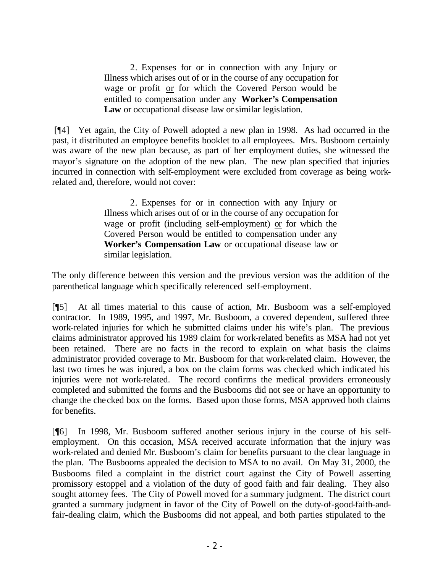2. Expenses for or in connection with any Injury or Illness which arises out of or in the course of any occupation for wage or profit or for which the Covered Person would be entitled to compensation under any **Worker's Compensation Law** or occupational disease law or similar legislation.

 [¶4] Yet again, the City of Powell adopted a new plan in 1998. As had occurred in the past, it distributed an employee benefits booklet to all employees. Mrs. Busboom certainly was aware of the new plan because, as part of her employment duties, she witnessed the mayor's signature on the adoption of the new plan. The new plan specified that injuries incurred in connection with self-employment were excluded from coverage as being workrelated and, therefore, would not cover:

> 2. Expenses for or in connection with any Injury or Illness which arises out of or in the course of any occupation for wage or profit (including self-employment) or for which the Covered Person would be entitled to compensation under any **Worker's Compensation Law** or occupational disease law or similar legislation.

The only difference between this version and the previous version was the addition of the parenthetical language which specifically referenced self-employment.

[¶5] At all times material to this cause of action, Mr. Busboom was a self-employed contractor. In 1989, 1995, and 1997, Mr. Busboom, a covered dependent, suffered three work-related injuries for which he submitted claims under his wife's plan. The previous claims administrator approved his 1989 claim for work-related benefits as MSA had not yet been retained. There are no facts in the record to explain on what basis the claims administrator provided coverage to Mr. Busboom for that work-related claim. However, the last two times he was injured, a box on the claim forms was checked which indicated his injuries were not work-related. The record confirms the medical providers erroneously completed and submitted the forms and the Busbooms did not see or have an opportunity to change the checked box on the forms. Based upon those forms, MSA approved both claims for benefits.

[¶6] In 1998, Mr. Busboom suffered another serious injury in the course of his selfemployment. On this occasion, MSA received accurate information that the injury was work-related and denied Mr. Busboom's claim for benefits pursuant to the clear language in the plan. The Busbooms appealed the decision to MSA to no avail. On May 31, 2000, the Busbooms filed a complaint in the district court against the City of Powell asserting promissory estoppel and a violation of the duty of good faith and fair dealing. They also sought attorney fees. The City of Powell moved for a summary judgment. The district court granted a summary judgment in favor of the City of Powell on the duty-of-good-faith-andfair-dealing claim, which the Busbooms did not appeal, and both parties stipulated to the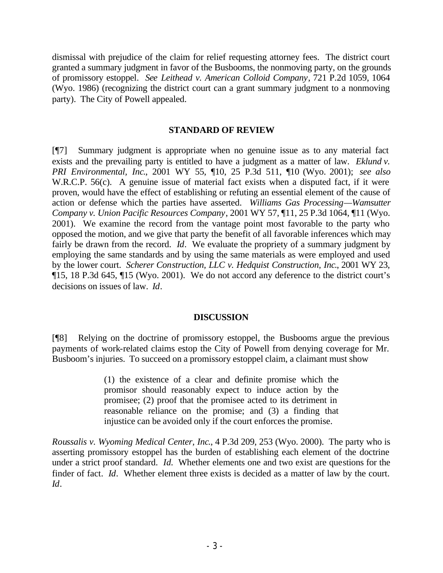dismissal with prejudice of the claim for relief requesting attorney fees. The district court granted a summary judgment in favor of the Busbooms, the nonmoving party, on the grounds of promissory estoppel. *See Leithead v. American Colloid Company*, 721 P.2d 1059, 1064 (Wyo. 1986) (recognizing the district court can a grant summary judgment to a nonmoving party). The City of Powell appealed.

#### **STANDARD OF REVIEW**

[¶7] Summary judgment is appropriate when no genuine issue as to any material fact exists and the prevailing party is entitled to have a judgment as a matter of law. *Eklund v. PRI Environmental, Inc*., 2001 WY 55, ¶10, 25 P.3d 511, ¶10 (Wyo. 2001); *see also* W.R.C.P. 56(c). A genuine issue of material fact exists when a disputed fact, if it were proven, would have the effect of establishing or refuting an essential element of the cause of action or defense which the parties have asserted. *Williams Gas Processing—Wamsutter Company v. Union Pacific Resources Company*, 2001 WY 57, ¶11, 25 P.3d 1064, ¶11 (Wyo. 2001). We examine the record from the vantage point most favorable to the party who opposed the motion, and we give that party the benefit of all favorable inferences which may fairly be drawn from the record. *Id*. We evaluate the propriety of a summary judgment by employing the same standards and by using the same materials as were employed and used by the lower court. *Scherer Construction, LLC v. Hedquist Construction, Inc*., 2001 WY 23, ¶15, 18 P.3d 645, ¶15 (Wyo. 2001). We do not accord any deference to the district court's decisions on issues of law. *Id*.

### **DISCUSSION**

[¶8] Relying on the doctrine of promissory estoppel, the Busbooms argue the previous payments of work-related claims estop the City of Powell from denying coverage for Mr. Busboom's injuries. To succeed on a promissory estoppel claim, a claimant must show

> (1) the existence of a clear and definite promise which the promisor should reasonably expect to induce action by the promisee; (2) proof that the promisee acted to its detriment in reasonable reliance on the promise; and (3) a finding that injustice can be avoided only if the court enforces the promise.

*Roussalis v. Wyoming Medical Center, Inc*., 4 P.3d 209, 253 (Wyo. 2000). The party who is asserting promissory estoppel has the burden of establishing each element of the doctrine under a strict proof standard. *Id.* Whether elements one and two exist are questions for the finder of fact. *Id*. Whether element three exists is decided as a matter of law by the court. *Id*.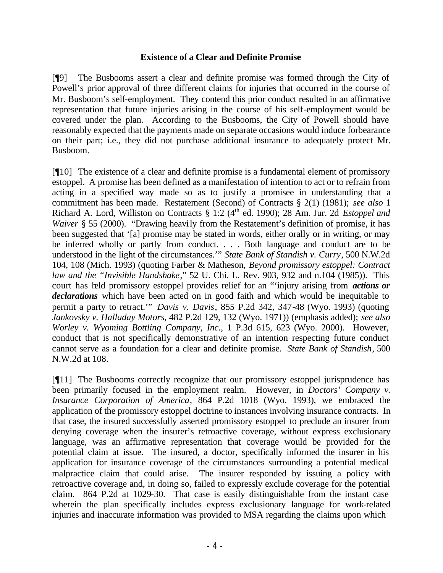#### **Existence of a Clear and Definite Promise**

[¶9] The Busbooms assert a clear and definite promise was formed through the City of Powell's prior approval of three different claims for injuries that occurred in the course of Mr. Busboom's self-employment. They contend this prior conduct resulted in an affirmative representation that future injuries arising in the course of his self-employment would be covered under the plan. According to the Busbooms, the City of Powell should have reasonably expected that the payments made on separate occasions would induce forbearance on their part; i.e., they did not purchase additional insurance to adequately protect Mr. Busboom.

[¶10] The existence of a clear and definite promise is a fundamental element of promissory estoppel. A promise has been defined as a manifestation of intention to act or to refrain from acting in a specified way made so as to justify a promisee in understanding that a commitment has been made. Restatement (Second) of Contracts § 2(1) (1981); *see also* 1 Richard A. Lord, Williston on Contracts § 1:2 (4<sup>th</sup> ed. 1990); 28 Am. Jur. 2d *Estoppel and Waiver* § 55 (2000). "Drawing heavily from the Restatement's definition of promise, it has been suggested that '[a] promise may be stated in words, either orally or in writing, or may be inferred wholly or partly from conduct. . . . Both language and conduct are to be understood in the light of the circumstances.'" *State Bank of Standish v. Curry*, 500 N.W.2d 104, 108 (Mich. 1993) (quoting Farber & Matheson, *Beyond promissory estoppel: Contract law and the "Invisible Handshake*," 52 U. Chi. L. Rev. 903, 932 and n.104 (1985)). This court has held promissory estoppel provides relief for an "'injury arising from *actions or declarations* which have been acted on in good faith and which would be inequitable to permit a party to retract.'" *Davis v. Davis*, 855 P.2d 342, 347-48 (Wyo. 1993) (quoting *Jankovsky v. Halladay Motors*, 482 P.2d 129, 132 (Wyo. 1971)) (emphasis added); *see also Worley v. Wyoming Bottling Company, Inc.*, 1 P.3d 615, 623 (Wyo. 2000). However, conduct that is not specifically demonstrative of an intention respecting future conduct cannot serve as a foundation for a clear and definite promise. *State Bank of Standish*, 500 N.W.2d at 108.

[¶11] The Busbooms correctly recognize that our promissory estoppel jurisprudence has been primarily focused in the employment realm. However, in *Doctors' Company v. Insurance Corporation of America*, 864 P.2d 1018 (Wyo. 1993), we embraced the application of the promissory estoppel doctrine to instances involving insurance contracts. In that case, the insured successfully asserted promissory estoppel to preclude an insurer from denying coverage when the insurer's retroactive coverage, without express exclusionary language, was an affirmative representation that coverage would be provided for the potential claim at issue. The insured, a doctor, specifically informed the insurer in his application for insurance coverage of the circumstances surrounding a potential medical malpractice claim that could arise. The insurer responded by issuing a policy with retroactive coverage and, in doing so, failed to expressly exclude coverage for the potential claim. 864 P.2d at 1029-30. That case is easily distinguishable from the instant case wherein the plan specifically includes express exclusionary language for work-related injuries and inaccurate information was provided to MSA regarding the claims upon which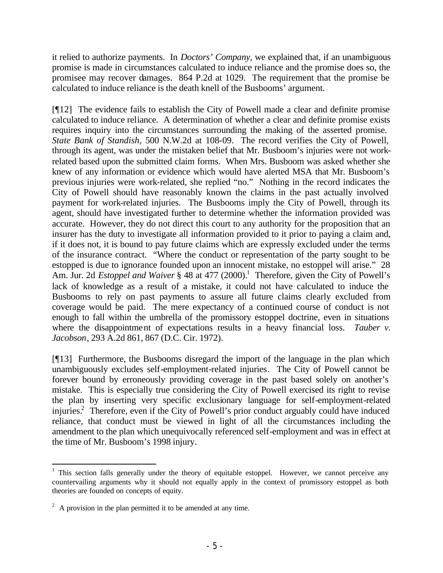it relied to authorize payments. In *Doctors' Company*, we explained that, if an unambiguous promise is made in circumstances calculated to induce reliance and the promise does so, the promisee may recover damages. 864 P.2d at 1029. The requirement that the promise be calculated to induce reliance is the death knell of the Busbooms' argument.

[¶12] The evidence fails to establish the City of Powell made a clear and definite promise calculated to induce reliance. A determination of whether a clear and definite promise exists requires inquiry into the circumstances surrounding the making of the asserted promise. *State Bank of Standish*, 500 N.W.2d at 108-09. The record verifies the City of Powell, through its agent, was under the mistaken belief that Mr. Busboom's injuries were not workrelated based upon the submitted claim forms. When Mrs. Busboom was asked whether she knew of any information or evidence which would have alerted MSA that Mr. Busboom's previous injuries were work-related, she replied "no." Nothing in the record indicates the City of Powell should have reasonably known the claims in the past actually involved payment for work-related injuries. The Busbooms imply the City of Powell, through its agent, should have investigated further to determine whether the information provided was accurate. However, they do not direct this court to any authority for the proposition that an insurer has the duty to investigate all information provided to it prior to paying a claim and, if it does not, it is bound to pay future claims which are expressly excluded under the terms of the insurance contract. "Where the conduct or representation of the party sought to be estopped is due to ignorance founded upon an innocent mistake, no estoppel will arise." 28 Am. Jur. 2d *Estoppel and Waiver* § 48 at 477 (2000).<sup>1</sup> Therefore, given the City of Powell's lack of knowledge as a result of a mistake, it could not have calculated to induce the Busbooms to rely on past payments to assure all future claims clearly excluded from coverage would be paid. The mere expectancy of a continued course of conduct is not enough to fall within the umbrella of the promissory estoppel doctrine, even in situations where the disappointment of expectations results in a heavy financial loss. *Tauber v. Jacobson*, 293 A.2d 861, 867 (D.C. Cir. 1972).

[¶13] Furthermore, the Busbooms disregard the import of the language in the plan which unambiguously excludes self-employment-related injuries. The City of Powell cannot be forever bound by erroneously providing coverage in the past based solely on another's mistake. This is especially true considering the City of Powell exercised its right to revise the plan by inserting very specific exclusionary language for self-employment-related injuries.<sup>2</sup> Therefore, even if the City of Powell's prior conduct arguably could have induced reliance, that conduct must be viewed in light of all the circumstances including the amendment to the plan which unequivocally referenced self-employment and was in effect at the time of Mr. Busboom's 1998 injury.

<sup>&</sup>lt;sup>1</sup> This section falls generally under the theory of equitable estoppel. However, we cannot perceive any countervailing arguments why it should not equally apply in the context of promissory estoppel as both theories are founded on concepts of equity.

 $2^2$  A provision in the plan permitted it to be amended at any time.